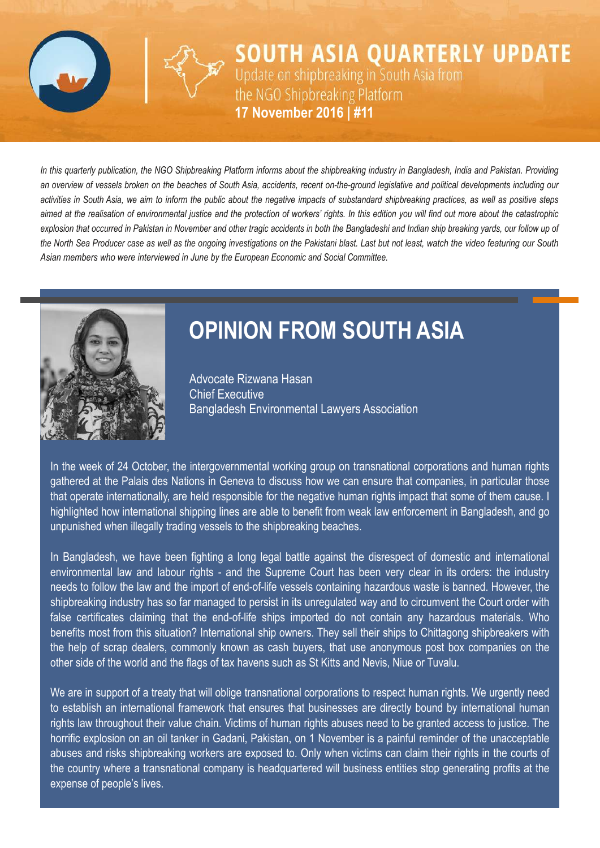

**SOUTH ASIA QUARTERLY UPDATE** Update on shipbreaking in South Asia from the NGO Shipbreaking Platform **10 August 2016 | #10 17 November 2016 | #11**

In this quarterly publication, the NGO Shipbreaking Platform informs about the shipbreaking industry in Bangladesh, India and Pakistan. Providing an overview of vessels broken on the beaches of South Asia, accidents, recent on-the-ground legislative and political developments including our activities in South Asia, we aim to inform the public about the negative impacts of substandard shipbreaking practices, as well as positive steps aimed at the realisation of environmental justice and the protection of workers' rights. In this edition you will find out more about the catastrophic explosion that occurred in Pakistan in November and other tragic accidents in both the Bangladeshi and Indian ship breaking vards, our follow up of the North Sea Producer case as well as the ongoing investigations on the Pakistani blast. Last but not least, watch the video featuring our South *Asian members who were interviewed in June by the European Economic and Social Committee.*



# **OPINION FROM SOUTH ASIA**

Advocate Rizwana Hasan Chief Executive Bangladesh Environmental Lawyers Association

In the week of 24 October, the intergovernmental working group on transnational corporations and human rights gathered at the Palais des Nations in Geneva to discuss how we can ensure that companies, in particular those that operate internationally, are held responsible for the negative human rights impact that some of them cause. I highlighted how international shipping lines are able to benefit from weak law enforcement in Bangladesh, and go unpunished when illegally trading vessels to the shipbreaking beaches.

In Bangladesh, we have been fighting a long legal battle against the disrespect of domestic and international environmental law and labour rights - and the Supreme Court has been very clear in its orders: the industry needs to follow the law and the import of end-of-life vessels containing hazardous waste is banned. However, the shipbreaking industry has so far managed to persist in its unregulated way and to circumvent the Court order with false certificates claiming that the end-of-life ships imported do not contain any hazardous materials. Who benefits most from this situation? International ship owners. They sell their ships to Chittagong shipbreakers with the help of scrap dealers, commonly known as cash buyers, that use anonymous post box companies on the other side of the world and the flags of tax havens such as St Kitts and Nevis, Niue or Tuvalu.

We are in support of a treaty that will oblige transnational corporations to respect human rights. We urgently need to establish an international framework that ensures that businesses are directly bound by international human rights law throughout their value chain. Victims of human rights abuses need to be granted access to justice. The horrific explosion on an oil tanker in Gadani, Pakistan, on 1 November is a painful reminder of the unacceptable abuses and risks shipbreaking workers are exposed to. Only when victims can claim their rights in the courts of the country where a transnational company is headquartered will business entities stop generating profits at the expense of people's lives.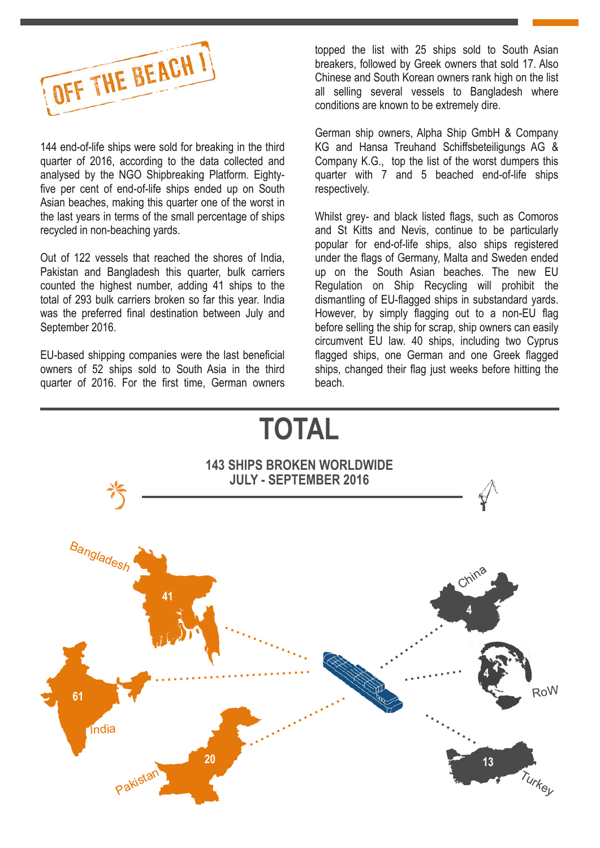

144 end-of-life ships were sold for breaking in the third quarter of 2016, according to the data collected and analysed by the NGO Shipbreaking Platform. Eightyfive per cent of end-of-life ships ended up on South Asian beaches, making this quarter one of the worst in the last years in terms of the small percentage of ships recycled in non-beaching yards.

Out of 122 vessels that reached the shores of India, Pakistan and Bangladesh this quarter, bulk carriers counted the highest number, adding 41 ships to the total of 293 bulk carriers broken so far this year. India was the preferred final destination between July and September 2016.

EU-based shipping companies were the last beneficial owners of 52 ships sold to South Asia in the third quarter of 2016. For the first time, German owners

topped the list with 25 ships sold to South Asian breakers, followed by Greek owners that sold 17. Also Chinese and South Korean owners rank high on the list all selling several vessels to Bangladesh where conditions are known to be extremely dire.

German ship owners, Alpha Ship GmbH & Company KG and Hansa Treuhand Schiffsbeteiligungs AG & Company K.G., top the list of the worst dumpers this quarter with 7 and 5 beached end-of-life ships respectively.

Whilst grey- and black listed flags, such as Comoros and St Kitts and Nevis, continue to be particularly popular for end-of-life ships, also ships registered under the flags of Germany, Malta and Sweden ended up on the South Asian beaches. The new EU Regulation on Ship Recycling will prohibit the dismantling of EU-flagged ships in substandard yards. However, by simply flagging out to a non-EU flag before selling the ship for scrap, ship owners can easily circumvent EU law. 40 ships, including two Cyprus flagged ships, one German and one Greek flagged ships, changed their flag just weeks before hitting the beach.

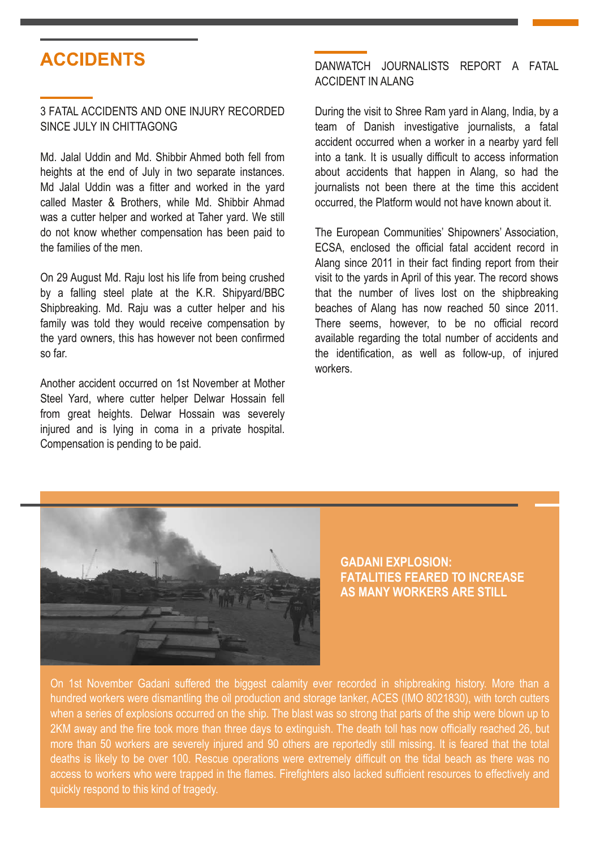# **ACCIDENTS**

#### 3 FATAL ACCIDENTS AND ONE INJURY RECORDED SINCE JULY IN CHITTAGONG

Md. Jalal Uddin and Md. Shibbir Ahmed both fell from heights at the end of July in two separate instances. Md Jalal Uddin was a fitter and worked in the yard called Master & Brothers, while Md. Shibbir Ahmad was a cutter helper and worked at Taher yard. We still do not know whether compensation has been paid to the families of the men.

On 29 August Md. Raju lost his life from being crushed by a falling steel plate at the K.R. Shipyard/BBC Shipbreaking. Md. Raju was a cutter helper and his family was told they would receive compensation by the yard owners, this has however not been confirmed so far.

Another accident occurred on 1st November at Mother Steel Yard, where cutter helper Delwar Hossain fell from great heights. Delwar Hossain was severely injured and is lying in coma in a private hospital. Compensation is pending to be paid.

### DANWATCH JOURNALISTS REPORT A FATAL ACCIDENT IN ALANG

During the visit to Shree Ram yard in Alang, India, by a team of Danish investigative journalists, a fatal accident occurred when a worker in a nearby yard fell into a tank. It is usually difficult to access information about accidents that happen in Alang, so had the journalists not been there at the time this accident occurred, the Platform would not have known about it.

The European Communities' Shipowners' Association, ECSA, enclosed the official fatal accident record in Alang since 2011 in their fact finding report from their visit to the yards in April of this year. The record shows that the number of lives lost on the shipbreaking beaches of Alang has now reached 50 since 2011. There seems, however, to be no official record available regarding the total number of accidents and the identification, as well as follow-up, of injured workers.



**GADANI EXPLOSION: FATALITIES FEARED TO INCREASE AS MANY WORKERS ARE STILL**

On 1st November Gadani suffered the biggest calamity ever recorded in shipbreaking history. More than a hundred workers were dismantling the oil production and storage tanker, ACES (IMO 8021830), with torch cutters when a series of explosions occurred on the ship. The blast was so strong that parts of the ship were blown up to 2KM away and the fire took more than three days to extinguish. The death toll has now officially reached 26, but more than 50 workers are severely injured and 90 others are reportedly still missing. It is feared that the total deaths is likely to be over 100. Rescue operations were extremely difficult on the tidal beach as there was no access to workers who were trapped in the flames. Firefighters also lacked sufficient resources to effectively and quickly respond to this kind of tragedy.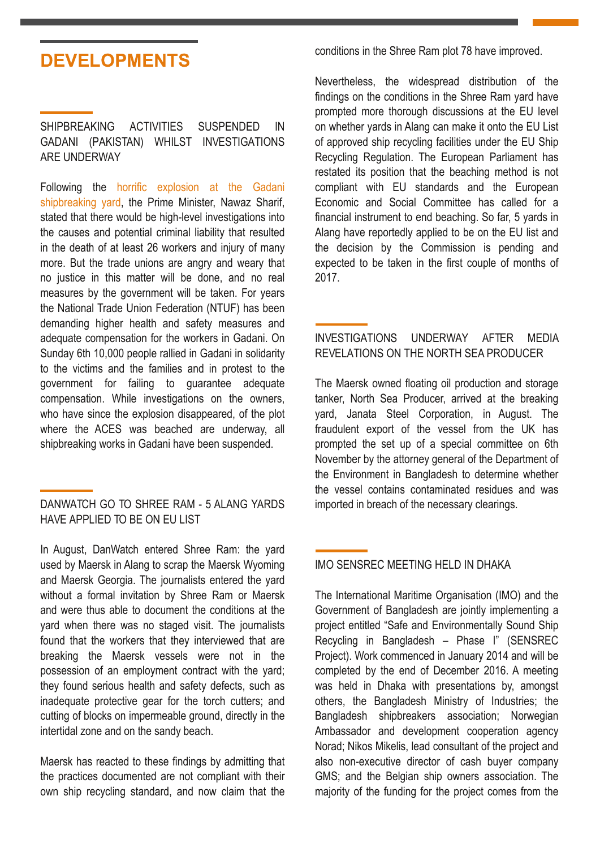# **DEVELOPMENTS**

SHIPBREAKING ACTIVITIES SUSPENDED IN GADANI (PAKISTAN) WHILST INVESTIGATIONS ARE UNDERWAY

Following the horrific explosion at the Gadani [shipbreaking](http://www.shipbreakingplatform.org/press-release-ngos-denounce-dangerous-working-conditions-after-major-explosion-at-gadani-shipbreaking-yard-in-pakistan-killing-at-least-21-workers/) yard, the Prime Minister, Nawaz Sharif, stated that there would be high-level investigations into the causes and potential criminal liability that resulted in the death of at least 26 workers and injury of many more. But the trade unions are angry and weary that no justice in this matter will be done, and no real measures by the government will be taken. For years the National Trade Union Federation (NTUF) has been demanding higher health and safety measures and adequate compensation for the workers in Gadani. On Sunday 6th 10,000 people rallied in Gadani in solidarity to the victims and the families and in protest to the government for failing to guarantee adequate compensation. While investigations on the owners, who have since the explosion disappeared, of the plot where the ACES was beached are underway, all shipbreaking works in Gadani have been suspended.

### DANWATCH GO TO SHREE RAM - 5 ALANG YARDS HAVE APPLIED TO BE ON EU LIST

In August, DanWatch entered Shree Ram: the yard used by Maersk in Alang to scrap the Maersk Wyoming and Maersk Georgia. The journalists entered the yard without a formal invitation by Shree Ram or Maersk and were thus able to document the conditions at the yard when there was no staged visit. The journalists found that the workers that they interviewed that are breaking the Maersk vessels were not in the possession of an employment contract with the yard; they found serious health and safety defects, such as inadequate protective gear for the torch cutters; and cutting of blocks on impermeable ground, directly in the intertidal zone and on the sandy beach.

Maersk has reacted to these findings by admitting that the practices documented are not compliant with their own ship recycling standard, and now claim that the conditions in the Shree Ram plot 78 have improved.

Nevertheless, the widespread distribution of the findings on the conditions in the Shree Ram yard have prompted more thorough discussions at the EU level on whether yards in Alang can make it onto the EU List of approved ship recycling facilities under the EU Ship Recycling Regulation. The European Parliament has restated its position that the beaching method is not compliant with EU standards and the European Economic and Social Committee has called for a financial instrument to end beaching. So far, 5 yards in Alang have reportedly applied to be on the EU list and the decision by the Commission is pending and expected to be taken in the first couple of months of 2017.

# INVESTIGATIONS UNDERWAY AFTER MEDIA REVELATIONS ON THE NORTH SEA PRODUCER

The Maersk owned floating oil production and storage tanker, North Sea Producer, arrived at the breaking yard, Janata Steel Corporation, in August. The fraudulent export of the vessel from the UK has prompted the set up of a special committee on 6th November by the attorney general of the Department of the Environment in Bangladesh to determine whether the vessel contains contaminated residues and was imported in breach of the necessary clearings.

# IMO SENSREC MEETING HELD IN DHAKA

The International Maritime Organisation (IMO) and the Government of Bangladesh are jointly implementing a project entitled "Safe and Environmentally Sound Ship Recycling in Bangladesh – Phase I" (SENSREC Project). Work commenced in January 2014 and will be completed by the end of December 2016. A meeting was held in Dhaka with presentations by, amongst others, the Bangladesh Ministry of Industries; the Bangladesh shipbreakers association; Norwegian Ambassador and development cooperation agency Norad; Nikos Mikelis, lead consultant of the project and also non-executive director of cash buyer company GMS; and the Belgian ship owners association. The majority of the funding for the project comes from the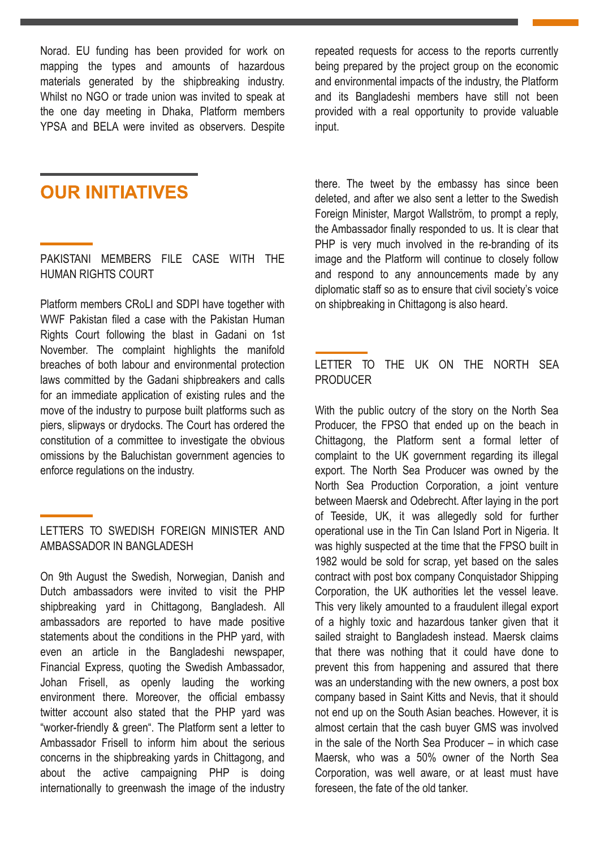Norad. EU funding has been provided for work on mapping the types and amounts of hazardous materials generated by the shipbreaking industry. Whilst no NGO or trade union was invited to speak at the one day meeting in Dhaka, Platform members YPSA and BELA were invited as observers. Despite

**OUR INITIATIVES** 

PAKISTANI MEMBERS FILE CASE WITH THE HUMAN RIGHTS COURT

Platform members CRoLI and SDPI have together with WWF Pakistan filed a case with the Pakistan Human Rights Court following the blast in Gadani on 1st November. The complaint highlights the manifold breaches of both labour and environmental protection laws committed by the Gadani shipbreakers and calls for an immediate application of existing rules and the move of the industry to purpose built platforms such as piers, slipways or drydocks. The Court has ordered the constitution of a committee to investigate the obvious omissions by the Baluchistan government agencies to enforce regulations on the industry.

LETTERS TO SWEDISH FOREIGN MINISTER AND AMBASSADOR IN BANGLADESH

On 9th August the Swedish, Norwegian, Danish and Dutch ambassadors were invited to visit the PHP shipbreaking yard in Chittagong, Bangladesh. All ambassadors are reported to have made positive statements about the conditions in the PHP yard, with even an article in the Bangladeshi newspaper, Financial Express, quoting the Swedish Ambassador, Johan Frisell, as openly lauding the working environment there. Moreover, the official embassy twitter account also stated that the PHP yard was "worker-friendly & green". The Platform sent a letter to Ambassador Frisell to inform him about the serious concerns in the shipbreaking yards in Chittagong, and about the active campaigning PHP is doing internationally to greenwash the image of the industry

repeated requests for access to the reports currently being prepared by the project group on the economic and environmental impacts of the industry, the Platform and its Bangladeshi members have still not been provided with a real opportunity to provide valuable input.

there. The tweet by the embassy has since been deleted, and after we also sent a letter to the Swedish Foreign Minister, Margot Wallström, to prompt a reply, the Ambassador finally responded to us. It is clear that PHP is very much involved in the re-branding of its image and the Platform will continue to closely follow and respond to any announcements made by any diplomatic staff so as to ensure that civil society's voice on shipbreaking in Chittagong is also heard.

### LETTER TO THE UK ON THE NORTH SEA PRODUCER

With the public outcry of the story on the North Sea Producer, the FPSO that ended up on the beach in Chittagong, the Platform sent a formal letter of complaint to the UK government regarding its illegal export. The North Sea Producer was owned by the North Sea Production Corporation, a joint venture between Maersk and Odebrecht. After laying in the port of Teeside, UK, it was allegedly sold for further operational use in the Tin Can Island Port in Nigeria. It was highly suspected at the time that the FPSO built in 1982 would be sold for scrap, yet based on the sales contract with post box company Conquistador Shipping Corporation, the UK authorities let the vessel leave. This very likely amounted to a fraudulent illegal export of a highly toxic and hazardous tanker given that it sailed straight to Bangladesh instead. Maersk claims that there was nothing that it could have done to prevent this from happening and assured that there was an understanding with the new owners, a post box company based in Saint Kitts and Nevis, that it should not end up on the South Asian beaches. However, it is almost certain that the cash buyer GMS was involved in the sale of the North Sea Producer – in which case Maersk, who was a 50% owner of the North Sea Corporation, was well aware, or at least must have foreseen, the fate of the old tanker.